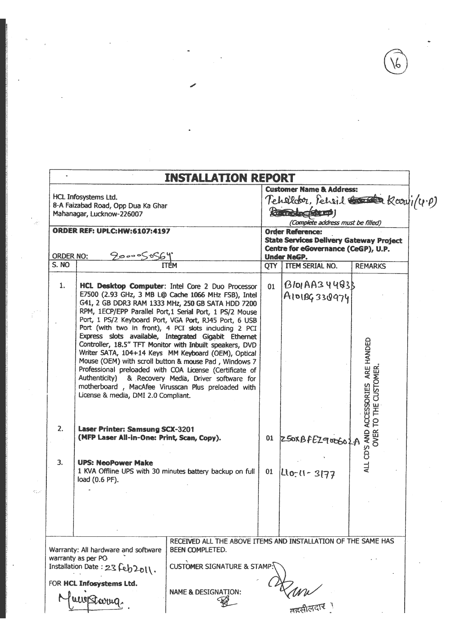$\widehat{6}$ 

 $\ddot{\phantom{0}}$ 

 $\frac{1}{\sqrt{2}}$ 

 $\mathcal{L}^{\mathcal{L}}$ 

|                  |                                                                                         | <b>INSTALLATION REPORT</b>                                                                                                                                                                                                                                                                |                                                                                                                                                                                                                                                        |                                  |                                       |  |  |  |  |
|------------------|-----------------------------------------------------------------------------------------|-------------------------------------------------------------------------------------------------------------------------------------------------------------------------------------------------------------------------------------------------------------------------------------------|--------------------------------------------------------------------------------------------------------------------------------------------------------------------------------------------------------------------------------------------------------|----------------------------------|---------------------------------------|--|--|--|--|
|                  | HCL Infosystems Ltd.<br>8-A Faizabad Road, Opp Dua Ka Ghar<br>Mahanagar, Lucknow-226007 |                                                                                                                                                                                                                                                                                           | <b>Customer Name &amp; Address:</b><br>Tehelder, Peheil Comp/4.P)<br><b>Kill Branch Round</b><br>(Complete address must be filled)<br><b>Order Reference:</b><br><b>State Services Delivery Gateway Project</b><br>Centre for eGovernance (CeGP), U.P. |                                  |                                       |  |  |  |  |
|                  | <b>ORDER REF: UPLC:HW:6107:4197</b>                                                     |                                                                                                                                                                                                                                                                                           |                                                                                                                                                                                                                                                        |                                  |                                       |  |  |  |  |
| <b>ORDER NO:</b> | 900005056                                                                               |                                                                                                                                                                                                                                                                                           |                                                                                                                                                                                                                                                        | <b>Under NeGP.</b>               |                                       |  |  |  |  |
| S. NO            |                                                                                         |                                                                                                                                                                                                                                                                                           | OTY                                                                                                                                                                                                                                                    | <b>TTEM SERIAL NO.</b>           | <b>REMARKS</b>                        |  |  |  |  |
| 1.               |                                                                                         | HCL Desktop Computer: Intel Core 2 Duo Processor<br>E7500 (2.93 GHz, 3 MB L@ Cache 1066 MHz FSB), Intel<br>G41, 2 GB DDR3 RAM 1333 MHz, 250 GB SATA HDD 7200<br>RPM, 1ECP/EPP Parallel Port, 1 Serial Port, 1 PS/2 Mouse<br>Port, 1 PS/2 Keyboard Port, VGA Port, RJ45 Port, 6 USB        | 01                                                                                                                                                                                                                                                     | $B$ lol AA34483B<br>AIDIBG330974 |                                       |  |  |  |  |
|                  |                                                                                         | Port (with two in front), 4 PCI slots including 2 PCI<br>Express slots available, Integrated Gigabit Ethernet<br>Controller, 18.5" TFT Monitor with Inbuilt speakers, DVD<br>Writer SATA, 104+14 Keys MM Keyboard (OEM), Optical<br>Mouse (OEM) with scroll button & mouse Pad, Windows 7 |                                                                                                                                                                                                                                                        |                                  | ARE HANDED                            |  |  |  |  |
|                  | License & media, DMI 2.0 Compliant.                                                     | Professional preloaded with COA License (Certificate of<br>Authenticity) & Recovery Media, Driver software for<br>motherboard, MacAfee Virusscan Plus preloaded with                                                                                                                      |                                                                                                                                                                                                                                                        |                                  | TO THE CUSTOMER<br><b>ACCESSORIES</b> |  |  |  |  |
| 2.               | Laser Printer: Samsung SCX-3201<br>(MFP Laser All-in-One: Print, Scan, Copy).           |                                                                                                                                                                                                                                                                                           |                                                                                                                                                                                                                                                        | 01 250XBFEZ900602A               | OVER <sup>-</sup><br>ALL CD'S AND     |  |  |  |  |
| 3 <sub>r</sub>   | <b>UPS: NeoPower Make</b><br>load (0.6 PF).                                             | 1 KVA Offline UPS with 30 minutes battery backup on full                                                                                                                                                                                                                                  | 01                                                                                                                                                                                                                                                     | $ $ Llo-11 - 3177                |                                       |  |  |  |  |
|                  |                                                                                         |                                                                                                                                                                                                                                                                                           |                                                                                                                                                                                                                                                        |                                  |                                       |  |  |  |  |
|                  | Warranty: All hardware and software                                                     | RECEIVED ALL THE ABOVE ITEMS AND INSTALLATION OF THE SAME HAS<br><b>BEEN COMPLETED.</b>                                                                                                                                                                                                   |                                                                                                                                                                                                                                                        |                                  |                                       |  |  |  |  |
|                  | warranty as per PO-<br>Installation Date: 23 Feb2011.                                   | <b>CUSTOMER SIGNATURE &amp; STAMP.</b>                                                                                                                                                                                                                                                    |                                                                                                                                                                                                                                                        |                                  |                                       |  |  |  |  |
|                  | FOR HCL Infosystems Ltd.<br>awoßbarng.                                                  | <b>NAME &amp; DESIGNATION:</b>                                                                                                                                                                                                                                                            |                                                                                                                                                                                                                                                        |                                  |                                       |  |  |  |  |

 $\tilde{\theta}$ 

 $\begin{bmatrix} 1 & 0 \\ 0 & 0 \\ 0 & 0 \end{bmatrix}$ 

 $\hat{\mathbf{r}}^{(2)}$ 

 $\hat{m}_{\rm s}$ 

 $\ddot{\phantom{0}}$ 

 $\overline{\phantom{a}}$ 

 $\mathcal{L}^{(1)}$ 

 $\ddot{\phantom{0}}$ 

 $\mathcal{A}^{\mathrm{c}}$  ,  $\mathcal{A}^{\mathrm{c}}$ 

 $\frac{1}{\sqrt{2}}$ 

 $\overline{\phantom{a}}$ 

 $\hat{\mathbf{z}}$ 

 $\hat{\mathcal{A}}$ 

 $\frac{1}{\sqrt{2}}$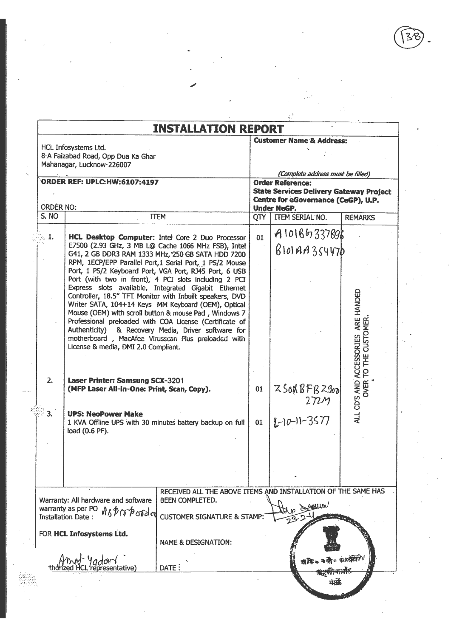|                  |                                                                                                                                                   | <b>INSTALLATION REPORT</b>                                                                                                                                                                                                                                                                                                                                                                                                                                                                                                                                                                                                                                                                                                                             |                                                                                                                                                                             | <b>Customer Name &amp; Address:</b>    |                                                              |  |  |  |
|------------------|---------------------------------------------------------------------------------------------------------------------------------------------------|--------------------------------------------------------------------------------------------------------------------------------------------------------------------------------------------------------------------------------------------------------------------------------------------------------------------------------------------------------------------------------------------------------------------------------------------------------------------------------------------------------------------------------------------------------------------------------------------------------------------------------------------------------------------------------------------------------------------------------------------------------|-----------------------------------------------------------------------------------------------------------------------------------------------------------------------------|----------------------------------------|--------------------------------------------------------------|--|--|--|
|                  | HCL Infosystems Ltd.<br>8-A Faizabad Road, Opp Dua Ka Ghar<br>Mahanagar, Lucknow-226007                                                           |                                                                                                                                                                                                                                                                                                                                                                                                                                                                                                                                                                                                                                                                                                                                                        | (Complete address must be filled)<br><b>Order Reference:</b><br><b>State Services Delivery Gateway Project</b><br>Centre for eGovernance (CeGP), U.P.<br><b>Under NeGP.</b> |                                        |                                                              |  |  |  |
| <b>ORDER NO:</b> | <b>ORDER REF: UPLC:HW:6107:4197</b>                                                                                                               |                                                                                                                                                                                                                                                                                                                                                                                                                                                                                                                                                                                                                                                                                                                                                        |                                                                                                                                                                             |                                        |                                                              |  |  |  |
| S. NO            |                                                                                                                                                   | <b>TTEM</b>                                                                                                                                                                                                                                                                                                                                                                                                                                                                                                                                                                                                                                                                                                                                            |                                                                                                                                                                             | QTY   ITEM SERIAL NO.                  | <b>REMARKS</b>                                               |  |  |  |
| $\sim 1.$        |                                                                                                                                                   | HCL Desktop Computer: Intel Core 2 Duo Processor<br>E7500 (2.93 GHz, 3 MB L@ Cache 1066 MHz FSB), Intel<br>G41, 2 GB DDR3 RAM 1333 MHz, 250 GB SATA HDD 7200<br>RPM, 1ECP/EPP Parallel Port,1 Serial Port, 1 PS/2 Mouse<br>Port, 1 PS/2 Keyboard Port, VGA Port, RJ45 Port, 6 USB<br>Port (with two in front), 4 PCI slots including 2 PCI<br>Express slots available, Integrated Gigabit Ethernet<br>Controller, 18.5" TFT Monitor with Inbuilt speakers, DVD<br>Writer SATA, 104+14 Keys MM Keyboard (OEM), Optical<br>Mouse (OEM) with scroll button & mouse Pad, Windows 7<br>Professional preloaded with COA License (Certificate of<br>Authenticity) & Recovery Media, Driver software for<br>motherboard, MacAfee Virusscan Plus preloaded with | 01                                                                                                                                                                          | A10186337898<br>$B$ lolAA3s447b        |                                                              |  |  |  |
| 2.<br>З.         | License & media, DMI 2.0 Compliant.<br>Laser Printer: Samsung SCX-3201<br>(MFP Laser All-in-One: Print, Scan, Copy).<br><b>UPS: NeoPower Make</b> |                                                                                                                                                                                                                                                                                                                                                                                                                                                                                                                                                                                                                                                                                                                                                        | 01                                                                                                                                                                          | Z50NBFBZ960<br>272M<br>$L$ -10-11-3577 | ALL CD'S AND ACCESSORIES ARE HANDED<br>OVER TO THE CUSTOMER. |  |  |  |
|                  | load (0.6 PF).                                                                                                                                    | 1 KVA Offline UPS with 30 minutes battery backup on full                                                                                                                                                                                                                                                                                                                                                                                                                                                                                                                                                                                                                                                                                               | 01                                                                                                                                                                          |                                        |                                                              |  |  |  |
|                  | Warranty: All hardware and software<br>warranty as per PO Asproported<br><b>Installation Date:</b>                                                | RECEIVED ALL THE ABOVE ITEMS AND INSTALLATION OF THE SAME HAS<br>BEEN COMPLETED.<br><b>CUSTOMER SIGNATURE &amp; STAMP:</b>                                                                                                                                                                                                                                                                                                                                                                                                                                                                                                                                                                                                                             |                                                                                                                                                                             | Collis                                 |                                                              |  |  |  |
|                  | FOR HCL Infosystems Ltd.<br>'adon                                                                                                                 | <b>NAME &amp; DESIGNATION:</b><br>DATE:                                                                                                                                                                                                                                                                                                                                                                                                                                                                                                                                                                                                                                                                                                                |                                                                                                                                                                             | ता हि ∞                                | कलैं - फ्राटक्रमणी                                           |  |  |  |
|                  | representative)                                                                                                                                   |                                                                                                                                                                                                                                                                                                                                                                                                                                                                                                                                                                                                                                                                                                                                                        |                                                                                                                                                                             | प्रद                                   |                                                              |  |  |  |

W.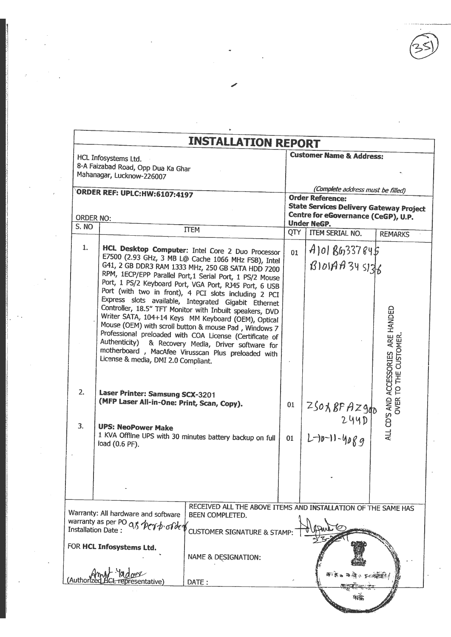|                    |                                                                                                                                  | <b>INSTALLATION REPORT</b>                                                                                                                                                                                                                                                                                                                                                                                                                                                                                                                                                                                                                                                                                                                              |          |                                                                                                                                                       |                                                           |
|--------------------|----------------------------------------------------------------------------------------------------------------------------------|---------------------------------------------------------------------------------------------------------------------------------------------------------------------------------------------------------------------------------------------------------------------------------------------------------------------------------------------------------------------------------------------------------------------------------------------------------------------------------------------------------------------------------------------------------------------------------------------------------------------------------------------------------------------------------------------------------------------------------------------------------|----------|-------------------------------------------------------------------------------------------------------------------------------------------------------|-----------------------------------------------------------|
|                    | HCL Infosystems Ltd.<br>8-A Faizabad Road, Opp Dua Ka Ghar<br>Mahanagar, Lucknow-226007                                          |                                                                                                                                                                                                                                                                                                                                                                                                                                                                                                                                                                                                                                                                                                                                                         |          | <b>Customer Name &amp; Address:</b>                                                                                                                   |                                                           |
|                    | <b>ORDER REF: UPLC: HW: 6107: 4197</b>                                                                                           |                                                                                                                                                                                                                                                                                                                                                                                                                                                                                                                                                                                                                                                                                                                                                         |          | (Complete address must be filled)<br><b>Order Reference:</b><br><b>State Services Delivery Gateway Project</b><br>Centre for eGovernance (CeGP), U.P. |                                                           |
| ORDER NO:<br>S. NO |                                                                                                                                  |                                                                                                                                                                                                                                                                                                                                                                                                                                                                                                                                                                                                                                                                                                                                                         |          | <b>Under NeGP.</b>                                                                                                                                    |                                                           |
|                    |                                                                                                                                  | <b>TTEM</b>                                                                                                                                                                                                                                                                                                                                                                                                                                                                                                                                                                                                                                                                                                                                             | QTY      | <b>ITEM SERIAL NO.</b>                                                                                                                                | <b>REMARKS</b>                                            |
| 1.<br>2.           | License & media, DMI 2.0 Compliant.<br>Laser Printer: Samsung SCX-3201                                                           | HCL Desktop Computer: Intel Core 2 Duo Processor<br>E7500 (2.93 GHz, 3 MB L@ Cache 1066 MHz FSB), Intel<br>G41, 2 GB DDR3 RAM 1333 MHz, 250 GB SATA HDD 7200<br>RPM, 1ECP/EPP Parallel Port, 1 Serial Port, 1 PS/2 Mouse<br>Port, 1 PS/2 Keyboard Port, VGA Port, RJ45 Port, 6 USB<br>Port (with two in front), 4 PCI slots including 2 PCI<br>Express slots available, Integrated Gigabit Ethernet<br>Controller, 18.5" TFT Monitor with Inbuilt speakers, DVD<br>Writer SATA, 104+14 Keys MM Keyboard (OEM), Optical<br>Mouse (OEM) with scroll button & mouse Pad, Windows 7<br>Professional preloaded with COA License (Certificate of<br>Authenticity) & Recovery Media, Driver software for<br>motherboard, MacAfee Virusscan Plus preloaded with | 01       | $A$ ]0  $B6$ 337845<br>B101A4345176                                                                                                                   | ARE HANDED<br>TO THE CUSTOMER<br>ALL CD'S AND ACCESSORIES |
| 3.                 | (MFP Laser All-in-One: Print, Scan, Copy).<br><b>UPS: NeoPower Make</b><br>load (0.6 PF).                                        | 1 KVA Offline UPS with 30 minutes battery backup on full                                                                                                                                                                                                                                                                                                                                                                                                                                                                                                                                                                                                                                                                                                | 01<br>01 | $25018FAZg_{\Phi}$<br>244D<br>$L^{-10-11-4089}$                                                                                                       | OVER <sup>-</sup>                                         |
|                    |                                                                                                                                  |                                                                                                                                                                                                                                                                                                                                                                                                                                                                                                                                                                                                                                                                                                                                                         |          |                                                                                                                                                       |                                                           |
|                    | Warranty: All hardware and software<br>warranty as per PO as perb of de<br>Installation Date:<br>FOR <b>HCL Infosystems Ltd.</b> | RECEIVED ALL THE ABOVE ITEMS AND INSTALLATION OF THE SAME HAS<br>BEEN COMPLETED.<br><b>CUSTOMER SIGNATURE &amp; STAMP</b><br><b>NAME &amp; DESIGNATION:</b>                                                                                                                                                                                                                                                                                                                                                                                                                                                                                                                                                                                             |          |                                                                                                                                                       |                                                           |
| Authoriz)          |                                                                                                                                  | DATE:                                                                                                                                                                                                                                                                                                                                                                                                                                                                                                                                                                                                                                                                                                                                                   |          | ○ 紫の経験面                                                                                                                                               |                                                           |

 $W$ 

П

 $\ddot{\phantom{1}}$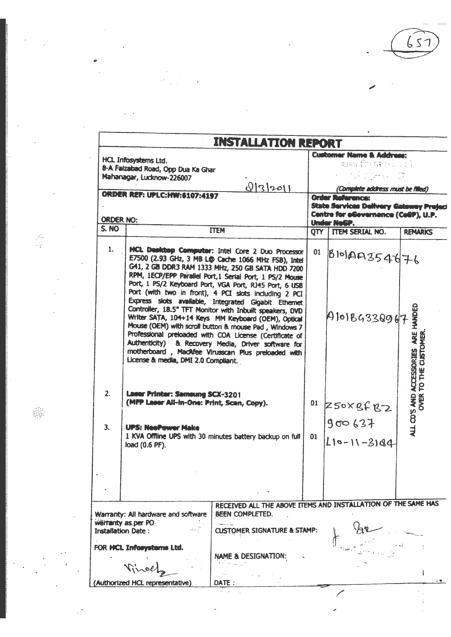$57$ 

 $\vdots$ 

|                                                                                                                                                                                                                                                                                                                                                                                                                                                                                                                                                                                                                                                                                                                                                                                                | <b>Customer Name &amp; Address:</b><br>BOS for 16 02011<br><b>AST Street D</b>                                                                                                                                                                                                         |                                        |                                                                                                                                                                                                                                                             |  |  |  |
|------------------------------------------------------------------------------------------------------------------------------------------------------------------------------------------------------------------------------------------------------------------------------------------------------------------------------------------------------------------------------------------------------------------------------------------------------------------------------------------------------------------------------------------------------------------------------------------------------------------------------------------------------------------------------------------------------------------------------------------------------------------------------------------------|----------------------------------------------------------------------------------------------------------------------------------------------------------------------------------------------------------------------------------------------------------------------------------------|----------------------------------------|-------------------------------------------------------------------------------------------------------------------------------------------------------------------------------------------------------------------------------------------------------------|--|--|--|
|                                                                                                                                                                                                                                                                                                                                                                                                                                                                                                                                                                                                                                                                                                                                                                                                |                                                                                                                                                                                                                                                                                        |                                        |                                                                                                                                                                                                                                                             |  |  |  |
|                                                                                                                                                                                                                                                                                                                                                                                                                                                                                                                                                                                                                                                                                                                                                                                                | <b>State Services Delivery Gateway Preject</b><br>Centre for eGevernance (CeGP), U.P.                                                                                                                                                                                                  |                                        |                                                                                                                                                                                                                                                             |  |  |  |
| <b>ITEM</b>                                                                                                                                                                                                                                                                                                                                                                                                                                                                                                                                                                                                                                                                                                                                                                                    |                                                                                                                                                                                                                                                                                        |                                        | <b>REMARKS</b>                                                                                                                                                                                                                                              |  |  |  |
| HCL Deaktop Computer: Intel Core 2 Duo Processor<br>E7500 (2.93 GHz, 3 MB L@ Cache 1066 MHz FSB), Intel<br>G41, 2 GB DDR3 RAM 1333 MHz, 250 GB SATA HDD 7200<br>RPM, 1ECP/EPP Parallel Port, 1 Serial Port, 1 PS/2 Mouse<br>Port, 1 PS/2 Keyboard Port, VGA Port, RJ45 Port, 6 USB<br>Port (with two in front), 4 PCI slots including 2 PCI<br>Express slots available, Integrated Gigabit Ethernet<br>Controller, 18.5" TFT Monitor with Inbuilt speakers, DVD<br>Writer SATA, 104+14 Keys MM Keyboard (OEM), Optical<br>Mouse (OEM) with scroll button & mouse Pad, Windows 7<br>Professional preloaded with COA License (Certificate of<br>Authenticity) & Recovery Media, Driver software for<br>motherboard, MacAfee Virusscan Plus preloaded with<br>License & media, DMI 2.0 Compliant. | 01                                                                                                                                                                                                                                                                                     |                                        | ALL CD'S AND ACCESSORIES ARE HANDED<br>TO THE CUSTOMER                                                                                                                                                                                                      |  |  |  |
| <b>Laser Printer: Samsung SCX-3201</b><br>(MPP Laser All-In-One: Print, Scan, Copy).<br><b>UPS: NeoPower Make</b><br>1 KVA Offline UPS with 30 minutes battery backup on full<br>load (0.6 PF).                                                                                                                                                                                                                                                                                                                                                                                                                                                                                                                                                                                                | 01                                                                                                                                                                                                                                                                                     | 900637<br>$L10-11-3184$                | OVER <sup>-</sup>                                                                                                                                                                                                                                           |  |  |  |
| <b>BEEN COMPLETED.</b><br><b>NAME &amp; DESIGNATION:</b>                                                                                                                                                                                                                                                                                                                                                                                                                                                                                                                                                                                                                                                                                                                                       |                                                                                                                                                                                                                                                                                        |                                        |                                                                                                                                                                                                                                                             |  |  |  |
|                                                                                                                                                                                                                                                                                                                                                                                                                                                                                                                                                                                                                                                                                                                                                                                                | HCL Infosystems Ltd.<br>8-A Faizabad Road, Opp Dua Ka Ghar<br>Mahanagar, Lucknow-226007<br>0 3 201 <br><b>ORDER REF: UPLC: HW:6107:4197</b><br><b>ORDER NO:</b><br>Warranty: All hardware and software<br>warranty as per PO<br><b>Installation Date:</b><br>FOR HCL Informations Ltd. | <b>CUSTOMER SIGNATURE &amp; STAMP:</b> | <b>INSTALLATION REPORT</b><br>(Complete address must be filled)<br><b>Order Reference:</b><br>Under NeGP.<br>OTY   ITEM SERIAL NO.<br>$\beta$ 10 AAS54476<br>A101B433Q967<br>$01$ Z50XBfB2<br>RECEIVED ALL THE ABOVE ITEMS AND INSTALLATION OF THE SAME HAS |  |  |  |

靈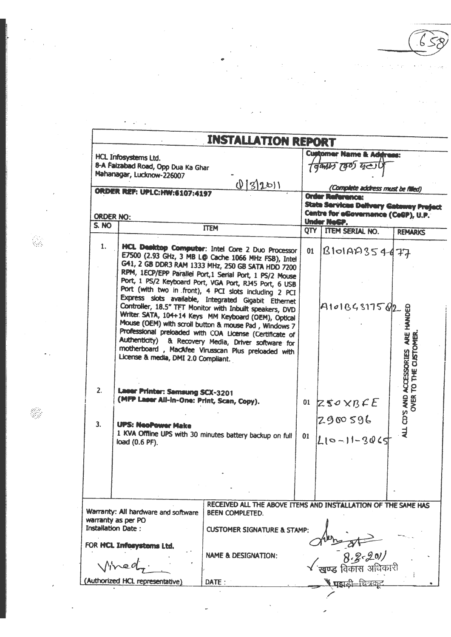|                           |                                                                                      | <b>INSTALLATION REPORT</b>                                                                                                                                                                                                                                                                                                                                                                               |    |                                                                                |                                                      |
|---------------------------|--------------------------------------------------------------------------------------|----------------------------------------------------------------------------------------------------------------------------------------------------------------------------------------------------------------------------------------------------------------------------------------------------------------------------------------------------------------------------------------------------------|----|--------------------------------------------------------------------------------|------------------------------------------------------|
|                           | HCL Infosystems Ltd.                                                                 |                                                                                                                                                                                                                                                                                                                                                                                                          |    | <b>Customer Name &amp; Address:</b>                                            |                                                      |
|                           | 8-A Faizabad Road, Opp Dua Ka Ghar                                                   |                                                                                                                                                                                                                                                                                                                                                                                                          |    | 19977705920                                                                    |                                                      |
|                           | Mahanagar, Lucknow-226007                                                            |                                                                                                                                                                                                                                                                                                                                                                                                          |    |                                                                                |                                                      |
|                           | <b>ORDER REF: UPLC:HW:6107:4197</b>                                                  | 0 3 20 1                                                                                                                                                                                                                                                                                                                                                                                                 |    | (Complete address must be filled)                                              |                                                      |
|                           |                                                                                      |                                                                                                                                                                                                                                                                                                                                                                                                          |    | <b>Order Reference:</b>                                                        |                                                      |
|                           |                                                                                      |                                                                                                                                                                                                                                                                                                                                                                                                          |    | State Services Delivery Gateway Preject<br>Centre for eCovernance (CeCP), U.P. |                                                      |
| <b>ORDER NO:</b><br>S. NO |                                                                                      |                                                                                                                                                                                                                                                                                                                                                                                                          |    | Under NeGP.                                                                    |                                                      |
|                           |                                                                                      | <b>ITEM</b>                                                                                                                                                                                                                                                                                                                                                                                              |    | QTY TTEM SERIAL NO.                                                            | <b>REMARKS</b>                                       |
| 1.                        |                                                                                      | HCL Desktop Computer: Intel Core 2 Duo Processor<br>E7500 (2.93 GHz, 3 MB L@ Cache 1066 MHz FSB), Intel<br>G41, 2 GB DDR3 RAM 1333 MHz, 250 GB SATA HDD 7200<br>RPM, 1ECP/EPP Parallel Port, 1 Serial Port, 1 PS/2 Mouse<br>Port, 1 PS/2 Keyboard Port, VGA Port, RJ45 Port, 6 USB<br>Port (with two in front), 4 PCI slots including 2 PCI                                                              | 01 | BBIO199354477                                                                  |                                                      |
|                           | License & media, DMI 2.0 Compliant.                                                  | Express slots available, Integrated Gigabit Ethernet<br>Controller, 18.5" TFT Monitor with Inbuilt speakers, DVD<br>Writer SATA, 104+14 Keys MM Keyboard (OEM), Optical<br>Mouse (OEM) with scroll button & mouse Pad, Windows 7<br>Professional preloaded with COA License (Certificate of<br>Authenticity) & Recovery Media, Driver software for<br>motherboard, MacAfee Virusscan Plus preloaded with |    | 1410186317502                                                                  | ARE HANDED<br><b>CLISTOMER</b><br><b>ACCESSORIES</b> |
| 2.                        | <b>Laser Printer: Samsung SCX-3201</b><br>(MFP Laser Ail-in-One: Print, Scan, Copy). |                                                                                                                                                                                                                                                                                                                                                                                                          | 01 | Z50YBCE                                                                        | P<br>ALL CD'S AND /<br>OVER "                        |
| 3.                        | <b>UPS: NeoPower Make</b><br>load (0.6 PF).                                          | 1 KVA Offline UPS with 30 minutes battery backup on full                                                                                                                                                                                                                                                                                                                                                 | 01 | 2900596<br>$L10 - 11 - 3065$                                                   |                                                      |
|                           |                                                                                      |                                                                                                                                                                                                                                                                                                                                                                                                          |    |                                                                                |                                                      |
|                           | Warranty: All hardware and software<br>warranty as per PO                            | RECEIVED ALL THE ABOVE ITEMS AND INSTALLATION OF THE SAME HAS<br><b>BEEN COMPLETED.</b>                                                                                                                                                                                                                                                                                                                  |    |                                                                                |                                                      |
|                           | <b>Installation Date:</b>                                                            | <b>CUSTOMER SIGNATURE &amp; STAMP:</b>                                                                                                                                                                                                                                                                                                                                                                   |    |                                                                                |                                                      |
|                           | FOR HCL Informations Ltd.                                                            |                                                                                                                                                                                                                                                                                                                                                                                                          |    |                                                                                |                                                      |
|                           |                                                                                      | <b>NAME &amp; DESIGNATION:</b>                                                                                                                                                                                                                                                                                                                                                                           |    |                                                                                |                                                      |
|                           | (Authorized HCL representative)                                                      | DATE:                                                                                                                                                                                                                                                                                                                                                                                                    |    |                                                                                |                                                      |

 $\hat{\rho} = \hat{\rho}$ 

 $\epsilon_{\perp}$ 

l,

÷,

J.

 $\overline{1}$ 

 $\overline{a}$ 

 $\ddot{\phantom{a}}$  $\overline{\phantom{a}}$ 

Ş.

 $\mathcal{L}_{\mathcal{A}}$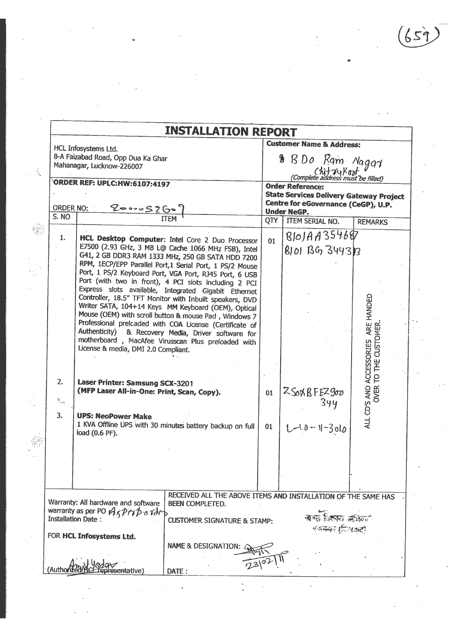$(659)$ 

|                                                      |                                                                                                                                                                                                                                                                                                                                                                                                                                                                                                                                                                                                                                                                                                                                                                                                                                                                                                                                                                                            |                            | <b>Customer Name &amp; Address:</b>                                                   |                                                              |  |  |
|------------------------------------------------------|--------------------------------------------------------------------------------------------------------------------------------------------------------------------------------------------------------------------------------------------------------------------------------------------------------------------------------------------------------------------------------------------------------------------------------------------------------------------------------------------------------------------------------------------------------------------------------------------------------------------------------------------------------------------------------------------------------------------------------------------------------------------------------------------------------------------------------------------------------------------------------------------------------------------------------------------------------------------------------------------|----------------------------|---------------------------------------------------------------------------------------|--------------------------------------------------------------|--|--|
|                                                      | HCL Infosystems Ltd.<br>8-A Faizabad Road, Opp Dua Ka Ghar<br>Mahanagar, Lucknow-226007                                                                                                                                                                                                                                                                                                                                                                                                                                                                                                                                                                                                                                                                                                                                                                                                                                                                                                    | $\text{B}$ B D o Rgm Nagay |                                                                                       |                                                              |  |  |
|                                                      | ORDER REF: UPLC: HW: 6107: 4197                                                                                                                                                                                                                                                                                                                                                                                                                                                                                                                                                                                                                                                                                                                                                                                                                                                                                                                                                            |                            | <b>Order Reference:</b>                                                               |                                                              |  |  |
| <b>ORDER NO:</b>                                     |                                                                                                                                                                                                                                                                                                                                                                                                                                                                                                                                                                                                                                                                                                                                                                                                                                                                                                                                                                                            |                            | <b>State Services Delivery Gateway Project</b><br>Centre for eGovernance (CeGP), U.P. |                                                              |  |  |
| S. NO                                                | 200005260                                                                                                                                                                                                                                                                                                                                                                                                                                                                                                                                                                                                                                                                                                                                                                                                                                                                                                                                                                                  | <b>QTY</b>                 | <b>Under NeGP.</b><br><b>ITEM SERIAL NO.</b>                                          | <b>REMARKS</b>                                               |  |  |
| 1.<br>2.<br>$\tilde{\mathcal{P}}_{\text{out}}$<br>3. | HCL Desktop Computer: Intel Core 2 Duo Processor<br>E7500 (2.93 GHz, 3 MB L@ Cache 1066 MHz FSB), Intel<br>G41, 2 GB DDR3 RAM 1333 MHz, 250 GB SATA HDD 7200<br>RPM, 1ECP/EPP Parallel Port, 1 Serial Port, 1 PS/2 Mouse<br>Port, 1 PS/2 Keyboard Port, VGA Port, RJ45 Port, 6 USB<br>Port (with two in front), 4 PCI slots including 2 PCI<br>Express slots available, Integrated Gigabit Ethernet<br>Controller, 18.5" TFT Monitor with Inbuilt speakers, DVD<br>Writer SATA, 104+14 Keys MM Keyboard (OEM), Optical<br>Mouse (OEM) with scroll button & mouse Pad, Windows 7<br>Professional prelcaded with COA License (Certificate of<br>Authenticity) & Recovery Media, Driver software for<br>motherboard, MacAfee Virusscan Plus preloaded with<br>License & media, DMI 2.0 Compliant.<br>Laser Printer: Samsung SCX-3201<br>(MFP Laser All-in-One: Print, Scan, Copy).<br><b>UPS: NeoPower Make</b><br>1 KVA Offline UPS with 30 minutes battery backup on full<br>load (0.6 PF). | 01<br>01<br>01             | $BIOJAA354687$<br>8101 39 3443 3<br>2SOXBFEZ900<br>$1 - 10 - 1 - 3010$                | ALL CD'S AND ACCESSORIES ARE HANDED<br>OVER TO THE CUSTOMER. |  |  |
|                                                      | RECEIVED ALL THE ABOVE ITEMS AND INSTALLATION OF THE SAME HAS<br>Warranty: All hardware and software<br><b>BEEN COMPLETED.</b><br>warranty as per PO A christianal rider<br>Installation Date:<br><b>CUSTOMER SIGNATURE &amp; STAMP:</b><br>FOR HCL Infosystems Ltd.<br><b>NAME &amp; DESIGNATION:</b>                                                                                                                                                                                                                                                                                                                                                                                                                                                                                                                                                                                                                                                                                     |                            | ৰুদ্দ বিকাৰ জমিলা"<br>रामम्बर (दिखकट)                                                 |                                                              |  |  |
|                                                      | DATE:                                                                                                                                                                                                                                                                                                                                                                                                                                                                                                                                                                                                                                                                                                                                                                                                                                                                                                                                                                                      |                            |                                                                                       |                                                              |  |  |

 $\sim$   $\sim$ 

 $\label{eq:2.1} \begin{split} \mathcal{L}_{\text{max}}(\mathbf{r}) = \mathcal{L}_{\text{max}}(\mathbf{r}) \,, \end{split}$ 

 $\frac{1}{2} \frac{1}{2} \frac{1}{2}$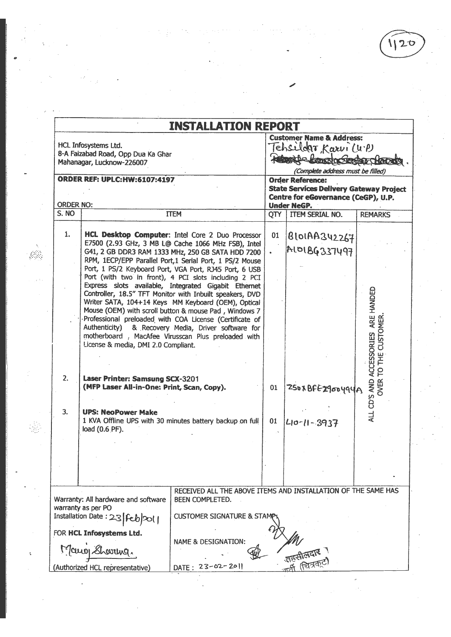$\sqrt{120}$ 

|                  | <b>INSTALLATION REPORT</b><br>HCL Infosystems Ltd.<br>8-A Faizabad Road, Opp Dua Ka Ghar<br>Mahanagar, Lucknow-226007    |                                                                                                                                                                                                                                                                                                                                                                                                                                                                                                                                                                                                                                                                                                                                                        |                                                                                                                                        | <b>Customer Name &amp; Address:</b><br>Tehsildar, Karvi (U.P)<br>Bette Londo Seder Chrondy<br>(Complete address must be filled) |                                                               |  |  |  |  |
|------------------|--------------------------------------------------------------------------------------------------------------------------|--------------------------------------------------------------------------------------------------------------------------------------------------------------------------------------------------------------------------------------------------------------------------------------------------------------------------------------------------------------------------------------------------------------------------------------------------------------------------------------------------------------------------------------------------------------------------------------------------------------------------------------------------------------------------------------------------------------------------------------------------------|----------------------------------------------------------------------------------------------------------------------------------------|---------------------------------------------------------------------------------------------------------------------------------|---------------------------------------------------------------|--|--|--|--|
| <b>ORDER NO:</b> | <b>ORDER REF: UPLC:HW:6107:4197</b>                                                                                      |                                                                                                                                                                                                                                                                                                                                                                                                                                                                                                                                                                                                                                                                                                                                                        | <b>Order Reference:</b><br><b>State Services Delivery Gateway Project</b><br>Centre for eGovernance (CeGP), U.P.<br><b>Under NeGP.</b> |                                                                                                                                 |                                                               |  |  |  |  |
| S. NO            |                                                                                                                          | <b>ITEM</b>                                                                                                                                                                                                                                                                                                                                                                                                                                                                                                                                                                                                                                                                                                                                            |                                                                                                                                        | OTY   ITEM SERIAL NO.                                                                                                           | <b>REMARKS</b>                                                |  |  |  |  |
| 1.               | License & media, DMI 2.0 Compliant.                                                                                      | HCL Desktop Computer: Intel Core 2 Duo Processor<br>E7500 (2.93 GHz, 3 MB L@ Cache 1066 MHz FSB), Intel<br>G41, 2 GB DDR3 RAM 1333 MHz, 250 GB SATA HDD 7200<br>RPM, 1ECP/EPP Parallel Port,1 Serial Port, 1 PS/2 Mouse<br>Port, 1 PS/2 Keyboard Port, VGA Port, RJ45 Port, 6 USB<br>Port (with two in front), 4 PCI slots including 2 PCI<br>Express slots available, Integrated Gigabit Ethernet<br>Controller, 18.5" TFT Monitor with Inbuilt speakers, DVD<br>Writer SATA, 104+14 Keys MM Keyboard (OEM), Optical<br>Mouse (OEM) with scroll button & mouse Pad, Windows 7<br>Professional preloaded with COA License (Certificate of<br>Authenticity) & Recovery Media, Driver software for<br>motherboard, MacAfee Virusscan Plus preloaded with | 01                                                                                                                                     | B101AA342267<br>ALOIBG337497                                                                                                    | ARE HANDED<br><b>CUSTOMER</b><br><b>ACCESSORIES</b><br>TO THE |  |  |  |  |
| 2.               | Laser Printer: Samsung SCX-3201<br>(MFP Laser All-in-One: Print, Scan, Copy).                                            |                                                                                                                                                                                                                                                                                                                                                                                                                                                                                                                                                                                                                                                                                                                                                        | 01                                                                                                                                     | 250x BFE2900494A                                                                                                                | ALL CD'S AND<br><b>OVER</b>                                   |  |  |  |  |
| 3.               | <b>UPS: NeoPower Make</b><br>load (0.6 PF).                                                                              | 1 KVA Offline UPS with 30 minutes battery backup on full                                                                                                                                                                                                                                                                                                                                                                                                                                                                                                                                                                                                                                                                                               | 01                                                                                                                                     | 40-11-3937                                                                                                                      |                                                               |  |  |  |  |
|                  |                                                                                                                          |                                                                                                                                                                                                                                                                                                                                                                                                                                                                                                                                                                                                                                                                                                                                                        |                                                                                                                                        |                                                                                                                                 |                                                               |  |  |  |  |
|                  | Warranty: All hardware and software<br>warranty as per PO<br>Installation Date: 23 [feb 201]<br>FOR HCL Infosystems Ltd. | RECEIVED ALL THE ABOVE ITEMS AND INSTALLATION OF THE SAME HAS<br><b>BEEN COMPLETED.</b><br><b>CUSTOMER SIGNATURE &amp; STAM</b>                                                                                                                                                                                                                                                                                                                                                                                                                                                                                                                                                                                                                        |                                                                                                                                        |                                                                                                                                 |                                                               |  |  |  |  |
|                  | Mano Showing.                                                                                                            | <b>NAME &amp; DESIGNATION:</b>                                                                                                                                                                                                                                                                                                                                                                                                                                                                                                                                                                                                                                                                                                                         |                                                                                                                                        |                                                                                                                                 |                                                               |  |  |  |  |
|                  | (Authorized HCL representative)                                                                                          | DATE: 23-02-2011                                                                                                                                                                                                                                                                                                                                                                                                                                                                                                                                                                                                                                                                                                                                       |                                                                                                                                        |                                                                                                                                 |                                                               |  |  |  |  |

 $\frac{1}{2}$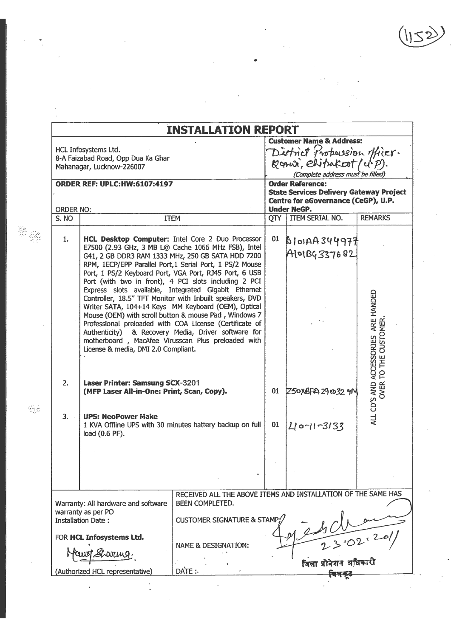$(1152)$ 

|                           |                                                                               | <b>INSTALLATION REPORT</b>                                                                                                                                                                                                                                                                      |                                     |                                                                           |                                                              |  |  |  |
|---------------------------|-------------------------------------------------------------------------------|-------------------------------------------------------------------------------------------------------------------------------------------------------------------------------------------------------------------------------------------------------------------------------------------------|-------------------------------------|---------------------------------------------------------------------------|--------------------------------------------------------------|--|--|--|
|                           |                                                                               |                                                                                                                                                                                                                                                                                                 |                                     | <b>Customer Name &amp; Address:</b>                                       |                                                              |  |  |  |
|                           | HCL Infosystems Ltd.<br>8-A Faizabad Road, Opp Dua Ka Ghar                    |                                                                                                                                                                                                                                                                                                 | District Probussion officer.        |                                                                           |                                                              |  |  |  |
|                           | Mahanagar, Lucknow-226007                                                     |                                                                                                                                                                                                                                                                                                 |                                     |                                                                           |                                                              |  |  |  |
|                           |                                                                               |                                                                                                                                                                                                                                                                                                 |                                     | (Complete address must be filled)                                         |                                                              |  |  |  |
|                           | <b>ORDER REF: UPLC:HW:6107:4197</b>                                           |                                                                                                                                                                                                                                                                                                 |                                     | <b>Order Reference:</b><br><b>State Services Delivery Gateway Project</b> |                                                              |  |  |  |
|                           |                                                                               |                                                                                                                                                                                                                                                                                                 | Centre for eGovernance (CeGP), U.P. |                                                                           |                                                              |  |  |  |
| <b>ORDER NO:</b><br>S. NO |                                                                               |                                                                                                                                                                                                                                                                                                 |                                     | <b>Under NeGP.</b><br><b>ITEM SERIAL NO.</b>                              | <b>REMARKS</b>                                               |  |  |  |
|                           |                                                                               | <b>ITEM</b>                                                                                                                                                                                                                                                                                     | QTY                                 |                                                                           |                                                              |  |  |  |
| 1.                        |                                                                               | HCL Desktop Computer: Intel Core 2 Duo Processor<br>E7500 (2.93 GHz, 3 MB L@ Cache 1066 MHz FSB), Intel<br>G41, 2 GB DDR3 RAM 1333 MHz, 250 GB SATA HDD 7200                                                                                                                                    | 01                                  | B101AA344977<br>Alo1BG337682                                              |                                                              |  |  |  |
|                           |                                                                               | RPM, 1ECP/EPP Parallel Port, 1 Serial Port, 1 PS/2 Mouse<br>Port, 1 PS/2 Keyboard Port, VGA Port, RJ45 Port, 6 USB<br>Port (with two in front), 4 PCI slots including 2 PCI<br>Express slots available, Integrated Gigabit Ethernet<br>Controller, 18.5" TFT Monitor with Inbuilt speakers, DVD |                                     |                                                                           |                                                              |  |  |  |
|                           | License & media, DMI 2.0 Compliant.                                           | Writer SATA, 104+14 Keys MM Keyboard (OEM), Optical<br>Mouse (OEM) with scroll button & mouse Pad, Windows 7<br>Professional preloaded with COA License (Certificate of<br>Authenticity) & Recovery Media, Driver software for<br>motherboard, MacAfee Virusscan Plus preloaded with            |                                     |                                                                           | ALL CD'S AND ACCESSORIES ARE HANDED<br>OVER TO THE CUSTOMER. |  |  |  |
| 2.                        | Laser Printer: Samsung SCX-3201<br>(MFP Laser All-in-One: Print, Scan, Copy). |                                                                                                                                                                                                                                                                                                 |                                     | 01 Z50XBFA 29 00 32 9M                                                    |                                                              |  |  |  |
| 3.                        | <b>UPS: NeoPower Make</b><br>load (0.6 PF).                                   | 1 KVA Offline UPS with 30 minutes battery backup on full                                                                                                                                                                                                                                        | 01                                  | $Li$ o- $11 - 3133$                                                       |                                                              |  |  |  |
|                           |                                                                               |                                                                                                                                                                                                                                                                                                 |                                     |                                                                           |                                                              |  |  |  |
|                           |                                                                               |                                                                                                                                                                                                                                                                                                 |                                     |                                                                           |                                                              |  |  |  |
|                           | Warranty: All hardware and software<br>warranty as per PO                     | RECEIVED ALL THE ABOVE ITEMS AND INSTALLATION OF THE SAME HAS<br>BEEN COMPLETED.                                                                                                                                                                                                                |                                     |                                                                           |                                                              |  |  |  |
|                           | <b>Installation Date:</b>                                                     | <b>CUSTOMER SIGNATURE &amp; STAMP</b>                                                                                                                                                                                                                                                           |                                     |                                                                           |                                                              |  |  |  |
|                           | FOR HCL Infosystems Ltd.                                                      | <b>NAME &amp; DESIGNATION:</b>                                                                                                                                                                                                                                                                  |                                     |                                                                           |                                                              |  |  |  |
|                           | Sharring.<br>(Authorized HCL representative)                                  | DATE:                                                                                                                                                                                                                                                                                           |                                     | -<br>जिला प्रोदेशन अधिकारी                                                |                                                              |  |  |  |
|                           |                                                                               |                                                                                                                                                                                                                                                                                                 |                                     |                                                                           |                                                              |  |  |  |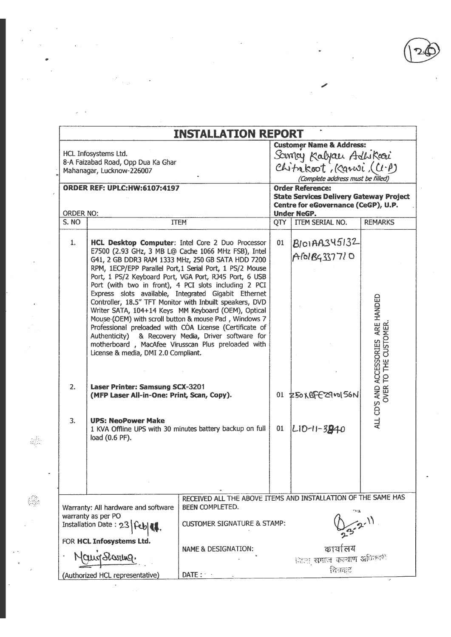|                  |                                                                                         | <b>INSTALLATION REPORT</b>                                                                                                                                                                                                                                                                                                                                                                                                                                                                                                                                                                                                                                                                                                                              |                                                                                                                                          |                                                                                                                                        |                                                              |  |  |  |
|------------------|-----------------------------------------------------------------------------------------|---------------------------------------------------------------------------------------------------------------------------------------------------------------------------------------------------------------------------------------------------------------------------------------------------------------------------------------------------------------------------------------------------------------------------------------------------------------------------------------------------------------------------------------------------------------------------------------------------------------------------------------------------------------------------------------------------------------------------------------------------------|------------------------------------------------------------------------------------------------------------------------------------------|----------------------------------------------------------------------------------------------------------------------------------------|--------------------------------------------------------------|--|--|--|
|                  | HCL Infosystems Ltd.<br>8-A Faizabad Road, Opp Dua Ka Ghar<br>Mahanagar, Lucknow-226007 |                                                                                                                                                                                                                                                                                                                                                                                                                                                                                                                                                                                                                                                                                                                                                         | <b>Customer Name &amp; Address:</b><br>Samay Kalyau Adhkoori<br>Chitrakoot, Karwi, $(U \cdot \rho)$<br>(Complete address must be filled) |                                                                                                                                        |                                                              |  |  |  |
| <b>ORDER NO:</b> | <b>ORDER REF: UPLC:HW:6107:4197</b>                                                     |                                                                                                                                                                                                                                                                                                                                                                                                                                                                                                                                                                                                                                                                                                                                                         |                                                                                                                                          | <b>Order Reference:</b><br><b>State Services Delivery Gateway Project</b><br>Centre for eGovernance (CeGP), U.P.<br><b>Under NeGP.</b> |                                                              |  |  |  |
| S. NO            |                                                                                         | <b>ITEM</b>                                                                                                                                                                                                                                                                                                                                                                                                                                                                                                                                                                                                                                                                                                                                             |                                                                                                                                          | QTY   ITEM SERIAL NO.                                                                                                                  | <b>REMARKS</b>                                               |  |  |  |
| $\mathbf{1}$     | License & media, DMI 2.0 Compliant.                                                     | HCL Desktop Computer: Intel Core 2 Duo Processor<br>E7500 (2.93 GHz, 3 MB L@ Cache 1066 MHz FSB), Intel<br>G41, 2 GB DDR3 RAM 1333 MHz, 250 GB SATA HDD 7200<br>RPM, 1ECP/EPP Parallel Port, 1 Serial Port, 1 PS/2 Mouse<br>Port, 1 PS/2 Keyboard Port, VGA Port, RJ45 Port, 6 USB<br>Port (with two in front), 4 PCI slots including 2 PCI<br>Express slots available, Integrated Gigabit Ethernet<br>Controller, 18.5" TFT Monitor with Inbuilt speakers, DVD<br>Writer SATA, 104+14 Keys MM Keyboard (OEM), Optical<br>Mouse (OEM) with scroll button & mouse Pad, Windows 7<br>Professional preloaded with COA License (Certificate of<br>Authenticity) & Recovery Media, Driver software for<br>motherboard, MacAfee Virusscan Plus preloaded with | 01                                                                                                                                       | $B$ ioiAA345132<br>AIOB433771O                                                                                                         | ALL CD'S AND ACCESSORIES ARE HANDED<br>OVER TO THE CUSTOMER. |  |  |  |
| 2.               | Laser Printer: Samsung SCX-3201<br>(MFP Laser All-in-One: Print, Scan, Copy).           |                                                                                                                                                                                                                                                                                                                                                                                                                                                                                                                                                                                                                                                                                                                                                         |                                                                                                                                          | 01 Z50XBFEZ940156N                                                                                                                     |                                                              |  |  |  |
| $\overline{3}$ . | <b>UPS: NeoPower Make</b><br>load (0.6 PF).                                             | 1 KVA Offline UPS with 30 minutes battery backup on full                                                                                                                                                                                                                                                                                                                                                                                                                                                                                                                                                                                                                                                                                                | 01                                                                                                                                       | $ L10-11-3240$                                                                                                                         |                                                              |  |  |  |
|                  |                                                                                         |                                                                                                                                                                                                                                                                                                                                                                                                                                                                                                                                                                                                                                                                                                                                                         |                                                                                                                                          |                                                                                                                                        |                                                              |  |  |  |
|                  | Warranty: All hardware and software<br>warranty as per PO                               | RECEIVED ALL THE ABOVE ITEMS AND INSTALLATION OF THE SAME HAS<br><b>BEEN COMPLETED.</b>                                                                                                                                                                                                                                                                                                                                                                                                                                                                                                                                                                                                                                                                 |                                                                                                                                          | 78 T                                                                                                                                   |                                                              |  |  |  |
|                  | Installation Date: 23                                                                   | <b>CUSTOMER SIGNATURE &amp; STAMP:</b>                                                                                                                                                                                                                                                                                                                                                                                                                                                                                                                                                                                                                                                                                                                  |                                                                                                                                          |                                                                                                                                        |                                                              |  |  |  |
|                  | FOR HCL Infosystems Ltd.<br>dultajGh                                                    | <b>NAME &amp; DESIGNATION:</b>                                                                                                                                                                                                                                                                                                                                                                                                                                                                                                                                                                                                                                                                                                                          |                                                                                                                                          | कायोलय<br>जिला समाज कल्याण अधिकारी                                                                                                     |                                                              |  |  |  |
|                  | (Authorized HCL representative)                                                         | DATE:                                                                                                                                                                                                                                                                                                                                                                                                                                                                                                                                                                                                                                                                                                                                                   |                                                                                                                                          | वित्रसृष्ट                                                                                                                             |                                                              |  |  |  |

€

 $\overline{\phantom{a}}$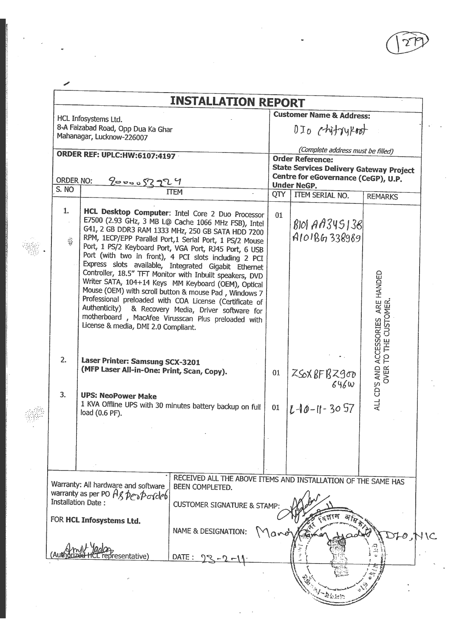|                  |                                                                                                                              | <b>INSTALLATION REPORT</b>                                                                                                                                                                                                                                                                                                                                                                                                                                                                                                                                                                                                                                                                                                                              |                                   |                                                |                                                              |  |  |  |  |  |
|------------------|------------------------------------------------------------------------------------------------------------------------------|---------------------------------------------------------------------------------------------------------------------------------------------------------------------------------------------------------------------------------------------------------------------------------------------------------------------------------------------------------------------------------------------------------------------------------------------------------------------------------------------------------------------------------------------------------------------------------------------------------------------------------------------------------------------------------------------------------------------------------------------------------|-----------------------------------|------------------------------------------------|--------------------------------------------------------------|--|--|--|--|--|
|                  | HCL Infosystems Ltd.                                                                                                         |                                                                                                                                                                                                                                                                                                                                                                                                                                                                                                                                                                                                                                                                                                                                                         |                                   | <b>Customer Name &amp; Address:</b>            |                                                              |  |  |  |  |  |
|                  | 8-A Faizabad Road, Opp Dua Ka Ghar                                                                                           |                                                                                                                                                                                                                                                                                                                                                                                                                                                                                                                                                                                                                                                                                                                                                         | DIO ChitryRoot                    |                                                |                                                              |  |  |  |  |  |
|                  | Mahanagar, Lucknow-226007                                                                                                    |                                                                                                                                                                                                                                                                                                                                                                                                                                                                                                                                                                                                                                                                                                                                                         | (Complete address must be filled) |                                                |                                                              |  |  |  |  |  |
|                  |                                                                                                                              |                                                                                                                                                                                                                                                                                                                                                                                                                                                                                                                                                                                                                                                                                                                                                         |                                   |                                                |                                                              |  |  |  |  |  |
|                  | <b>ORDER REF: UPLC:HW:6107:4197</b>                                                                                          |                                                                                                                                                                                                                                                                                                                                                                                                                                                                                                                                                                                                                                                                                                                                                         |                                   | <b>Order Reference:</b>                        |                                                              |  |  |  |  |  |
|                  |                                                                                                                              |                                                                                                                                                                                                                                                                                                                                                                                                                                                                                                                                                                                                                                                                                                                                                         |                                   | <b>State Services Delivery Gateway Project</b> |                                                              |  |  |  |  |  |
| <b>ORDER NO:</b> | <u>2000052224</u>                                                                                                            |                                                                                                                                                                                                                                                                                                                                                                                                                                                                                                                                                                                                                                                                                                                                                         |                                   | Centre for eGovernance (CeGP), U.P.            |                                                              |  |  |  |  |  |
| S. NO            |                                                                                                                              | ITEM                                                                                                                                                                                                                                                                                                                                                                                                                                                                                                                                                                                                                                                                                                                                                    |                                   | <b>Under NeGP.</b>                             |                                                              |  |  |  |  |  |
|                  |                                                                                                                              |                                                                                                                                                                                                                                                                                                                                                                                                                                                                                                                                                                                                                                                                                                                                                         | QTY                               | ITEM SERIAL NO.                                | <b>REMARKS</b>                                               |  |  |  |  |  |
| 1.<br>霧          | License & media, DMI 2.0 Compliant.                                                                                          | HCL Desktop Computer: Intel Core 2 Duo Processor<br>E7500 (2.93 GHz, 3 MB L@ Cache 1066 MHz FSB), Intel<br>G41, 2 GB DDR3 RAM 1333 MHz, 250 GB SATA HDD 7200<br>RPM, 1ECP/EPP Parallel Port, 1 Serial Port, 1 PS/2 Mouse<br>Port, 1 PS/2 Keyboard Port, VGA Port, RJ45 Port, 6 USB<br>Port (with two in front), 4 PCI slots including 2 PCI<br>Express slots available, Integrated Gigabit Ethernet<br>Controller, 18.5" TFT Monitor with Inbuilt speakers, DVD<br>Writer SATA, 104+14 Keys MM Keyboard (OEM), Optical<br>Mouse (OEM) with scroll button & mouse Pad, Windows 7<br>Professional preloaded with COA License (Certificate of<br>Authenticity) & Recovery Media, Driver software for<br>motherboard, MacAfee Virusscan Plus preloaded with | 01                                | <b>BIOI AA345138</b><br>A101BG338989           | ALL CD'S AND ACCESSORIES ARE HANDED<br>OVER TO THE CUSTOMER. |  |  |  |  |  |
| 2.<br>3.         | Laser Printer: Samsung SCX-3201<br>(MFP Laser All-in-One: Print, Scan, Copy).<br><b>UPS: NeoPower Make</b><br>load (0.6 PF). | 1 KVA Offline UPS with 30 minutes battery backup on full                                                                                                                                                                                                                                                                                                                                                                                                                                                                                                                                                                                                                                                                                                | 01<br>01                          | ZSOX BFBZ900<br>646w<br>$L$ -10-11-3057        |                                                              |  |  |  |  |  |
|                  |                                                                                                                              |                                                                                                                                                                                                                                                                                                                                                                                                                                                                                                                                                                                                                                                                                                                                                         |                                   |                                                |                                                              |  |  |  |  |  |
|                  | Warranty: All hardware and software<br>warranty as per PO Ag perp ordeb                                                      | RECEIVED ALL THE ABOVE ITEMS AND INSTALLATION OF THE SAME HAS<br>BEEN COMPLETED.                                                                                                                                                                                                                                                                                                                                                                                                                                                                                                                                                                                                                                                                        |                                   |                                                |                                                              |  |  |  |  |  |
|                  | Installation Date:                                                                                                           | <b>CUSTOMER SIGNATURE &amp; STAMP:</b>                                                                                                                                                                                                                                                                                                                                                                                                                                                                                                                                                                                                                                                                                                                  |                                   |                                                |                                                              |  |  |  |  |  |
|                  | FOR HCL Infosystems Ltd.                                                                                                     |                                                                                                                                                                                                                                                                                                                                                                                                                                                                                                                                                                                                                                                                                                                                                         |                                   |                                                |                                                              |  |  |  |  |  |
|                  | 'esentative)                                                                                                                 | <b>NAME &amp; DESIGNATION:</b><br>DATE: 72                                                                                                                                                                                                                                                                                                                                                                                                                                                                                                                                                                                                                                                                                                              |                                   |                                                |                                                              |  |  |  |  |  |

 $\overline{\phantom{a}}$ 

 $\frac{1}{2}$ 

 $\ddot{\phantom{a}}$ 

 $\mathcal{L}$ 

 $\ddot{\phantom{0}}$ 

 $\frac{1}{2}$ 

 $\ddot{\phantom{0}}$ 

 $\frac{1}{\sqrt{2}}$ 

÷

 $\bar{\beta}$ 

 $\hat{\mathcal{A}}$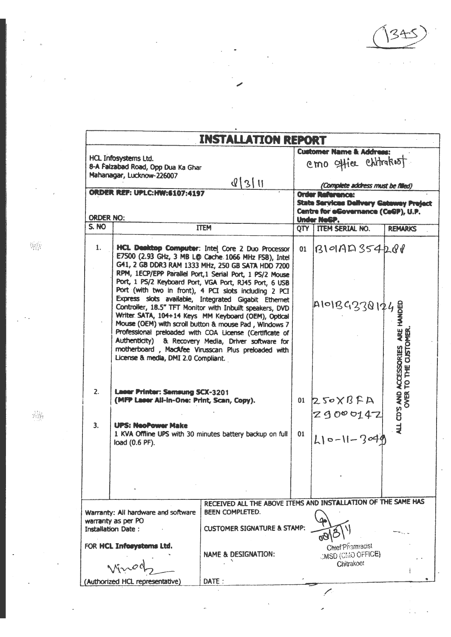$\alpha$  $\bar{z}$ 

 $\bar{z}$ 

 $\mathcal{A}$ 

|                           |                                                                                                             | <b>INSTALLATION REPORT</b>                                                                                                                                                                                                                                                                                                                                                                                                                                                                                                                                                                                                                                                                                                                               |          |                                                                                                                                                       |                                              |
|---------------------------|-------------------------------------------------------------------------------------------------------------|----------------------------------------------------------------------------------------------------------------------------------------------------------------------------------------------------------------------------------------------------------------------------------------------------------------------------------------------------------------------------------------------------------------------------------------------------------------------------------------------------------------------------------------------------------------------------------------------------------------------------------------------------------------------------------------------------------------------------------------------------------|----------|-------------------------------------------------------------------------------------------------------------------------------------------------------|----------------------------------------------|
|                           | HCL Infosystems Ltd.<br>8-A Faizabad Road, Opp Dua Ka Ghar<br>Mahanagar, Lucknow-226007                     |                                                                                                                                                                                                                                                                                                                                                                                                                                                                                                                                                                                                                                                                                                                                                          |          | <b>Customer Name &amp; Address:</b><br>emo office chitrakost.                                                                                         |                                              |
|                           | <b>ORDER REF: UPLC:HW:6107:4197</b>                                                                         | Q[3 1]                                                                                                                                                                                                                                                                                                                                                                                                                                                                                                                                                                                                                                                                                                                                                   |          | (Complete address must be filled)<br><b>Order Reference:</b><br><b>State Services Delivery Gateway Prejact</b><br>Centre for eCovernance (CeCP), U.P. |                                              |
| <b>ORDER NO:</b><br>S. NO |                                                                                                             | <b>ITEM</b>                                                                                                                                                                                                                                                                                                                                                                                                                                                                                                                                                                                                                                                                                                                                              |          | Under NeGP.<br>OTY ITEM SERIAL NO.                                                                                                                    | <b>REMARKS</b>                               |
| 1.                        | License & media, DMI 2.0 Compliant.                                                                         | HCL Decktop Computer: Intel Core 2 Duo Processor<br>E7500 (2.93 GHz, 3 MB L@ Cache 1066 MHz FSB), Intel<br>G41, 2 GB DDR3 RAM 1333 MHz, 250 GB SATA HDD 7200<br>RPM, 1ECP/EPP Parallel Port, 1 Serial Port, 1 PS/2 Mouse<br>Port, 1 PS/2 Keyboard Port, VGA Port, RJ45 Port, 6 USB<br>Port (with two in front), 4 PCI slots including 2 PCI<br>Express slots available, Integrated Gigabit Ethernet<br>Controller, 18.5" TFT Monitor with Inbuilt speakers, DVD<br>Writer. SATA, 104+14 Keys MM Keyboard (OEM), Optical<br>Mouse (OEM) with scroll button & mouse Pad, Windows 7<br>Professional preloaded with COA License (Certificate of<br>Authenticity) & Recovery Media, Driver software for<br>motherboard, MacAfee Virusscan Plus preloaded with | 01       | B101AD354201<br>A1013938174                                                                                                                           | ARE HANDED<br>CUSTOMER<br><b>ACCESSORIES</b> |
| 2.<br>3.                  | Laser Printer: Samsung SCX-3201<br>(MFP Laser All-in-One: Print, Scan, Copy).<br><b>LIPS: NeoPower Make</b> | 1 KVA Offline UPS with 30 minutes battery backup on full                                                                                                                                                                                                                                                                                                                                                                                                                                                                                                                                                                                                                                                                                                 | 01<br>01 | $Z$ $S$ $\circ$ $X$ $B$ $F$ $A$<br>29000147<br>$L10 - 11 - 3040$                                                                                      | P<br>ALL CD'S AND /<br>OVER '                |
|                           | load (0.6 PF).                                                                                              |                                                                                                                                                                                                                                                                                                                                                                                                                                                                                                                                                                                                                                                                                                                                                          |          |                                                                                                                                                       |                                              |
|                           | Warranty: All hardware and software<br>warranty as per PO<br><b>Installation Date:</b>                      | RECEIVED ALL THE ABOVE ITEMS AND INSTALLATION OF THE SAME HAS<br><b>BEEN COMPLETED.</b><br><b>CUSTOMER SIGNATURE &amp; STAMP:</b>                                                                                                                                                                                                                                                                                                                                                                                                                                                                                                                                                                                                                        |          |                                                                                                                                                       |                                              |
|                           | FOR HCL Inforystems Ltd.                                                                                    | <b>NAME &amp; DESIGNATION:</b>                                                                                                                                                                                                                                                                                                                                                                                                                                                                                                                                                                                                                                                                                                                           |          | <b>Chief Pharmacist</b><br><b>JMSD (CMO OFFICE)</b><br>Chitrakoot                                                                                     |                                              |
|                           | (Authorized HCL representative)                                                                             | DATE:                                                                                                                                                                                                                                                                                                                                                                                                                                                                                                                                                                                                                                                                                                                                                    |          |                                                                                                                                                       |                                              |

 $\hat{\mathbf{v}}$ 

 $\hat{\mathcal{L}}$ 

÷

靈

靈

l.

 $\overline{\phantom{a}}$ 

l,

J,

 $\ddot{\phantom{a}}$ 

ä

 $\overline{\phantom{a}}$